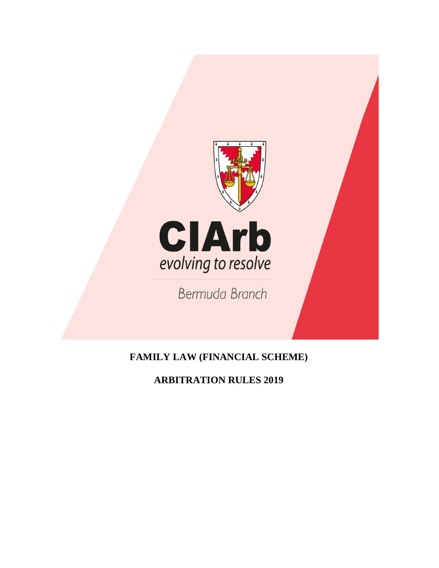

# **FAMILY LAW (FINANCIAL SCHEME)**

# **ARBITRATION RULES 2019**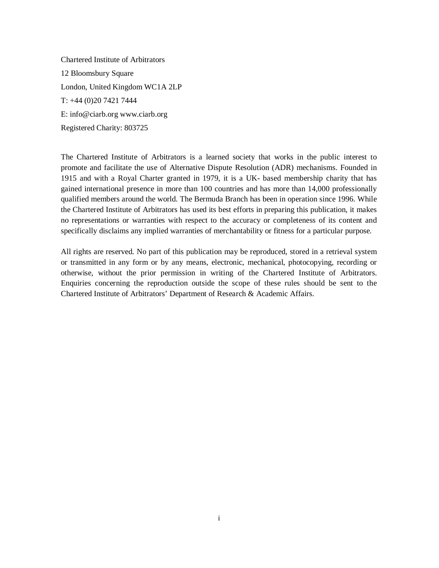Chartered Institute of Arbitrators 12 Bloomsbury Square London, United Kingdom WC1A 2LP T: +44 (0)20 7421 7444 E: info@ciarb.org www.ciarb.org Registered Charity: 803725

The Chartered Institute of Arbitrators is a learned society that works in the public interest to promote and facilitate the use of Alternative Dispute Resolution (ADR) mechanisms. Founded in 1915 and with a Royal Charter granted in 1979, it is a UK- based membership charity that has gained international presence in more than 100 countries and has more than 14,000 professionally qualified members around the world. The Bermuda Branch has been in operation since 1996. While the Chartered Institute of Arbitrators has used its best efforts in preparing this publication, it makes no representations or warranties with respect to the accuracy or completeness of its content and specifically disclaims any implied warranties of merchantability or fitness for a particular purpose.

All rights are reserved. No part of this publication may be reproduced, stored in a retrieval system or transmitted in any form or by any means, electronic, mechanical, photocopying, recording or otherwise, without the prior permission in writing of the Chartered Institute of Arbitrators. Enquiries concerning the reproduction outside the scope of these rules should be sent to the Chartered Institute of Arbitrators' Department of Research & Academic Affairs.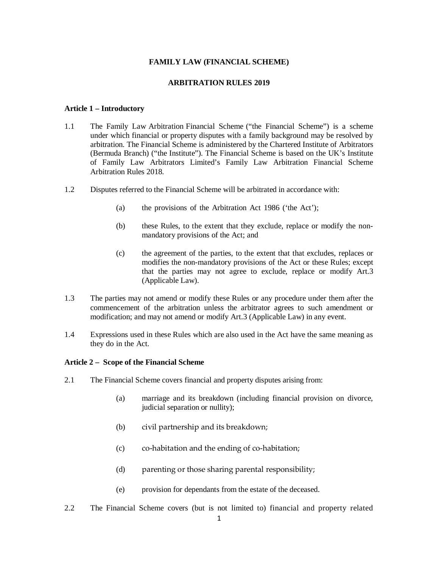## **FAMILY LAW (FINANCIAL SCHEME)**

## **ARBITRATION RULES 2019**

#### **Article 1 – Introductory**

- 1.1 The Family Law Arbitration Financial Scheme ("the Financial Scheme") is a scheme under which financial or property disputes with a family background may be resolved by arbitration. The Financial Scheme is administered by the Chartered Institute of Arbitrators (Bermuda Branch) ("the Institute"). The Financial Scheme is based on the UK's Institute of Family Law Arbitrators Limited's Family Law Arbitration Financial Scheme Arbitration Rules 2018.
- 1.2 Disputes referred to the Financial Scheme will be arbitrated in accordance with:
	- (a) the provisions of the Arbitration Act 1986 ('the Act');
	- (b) these Rules, to the extent that they exclude, replace or modify the nonmandatory provisions of the Act; and
	- (c) the agreement of the parties, to the extent that that excludes, replaces or modifies the non-mandatory provisions of the Act or these Rules; except that the parties may not agree to exclude, replace or modify Art.3 (Applicable Law).
- 1.3 The parties may not amend or modify these Rules or any procedure under them after the commencement of the arbitration unless the arbitrator agrees to such amendment or modification; and may not amend or modify Art.3 (Applicable Law) in any event.
- 1.4 Expressions used in these Rules which are also used in the Act have the same meaning as they do in the Act.

#### **Article 2 – Scope of the Financial Scheme**

- 2.1 The Financial Scheme covers financial and property disputes arising from:
	- (a) marriage and its breakdown (including financial provision on divorce, judicial separation or nullity);
	- (b) civil partnership and its breakdown;
	- (c) co-habitation and the ending of co-habitation;
	- (d) parenting or those sharing parental responsibility;
	- (e) provision for dependants from the estate of the deceased.
- 2.2 The Financial Scheme covers (but is not limited to) financial and property related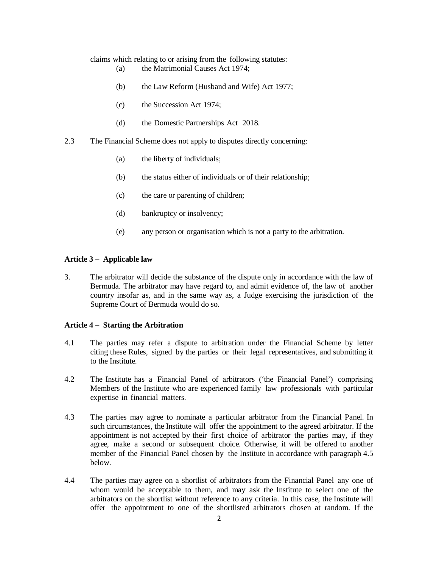claims which relating to or arising from the following statutes:

- (a) the Matrimonial Causes Act 1974;
- (b) the Law Reform (Husband and Wife) Act 1977;
- (c) the Succession Act 1974;
- (d) the Domestic Partnerships Act 2018.
- 2.3 The Financial Scheme does not apply to disputes directly concerning:
	- (a) the liberty of individuals;
	- (b) the status either of individuals or of their relationship;
	- (c) the care or parenting of children;
	- (d) bankruptcy or insolvency;
	- (e) any person or organisation which is not a party to the arbitration.

#### **Article 3 – Applicable law**

3. The arbitrator will decide the substance of the dispute only in accordance with the law of Bermuda. The arbitrator may have regard to, and admit evidence of, the law of another country insofar as, and in the same way as, a Judge exercising the jurisdiction of the Supreme Court of Bermuda would do so.

#### **Article 4 – Starting the Arbitration**

- 4.1 The parties may refer a dispute to arbitration under the Financial Scheme by letter citing these Rules, signed by the parties or their legal representatives, and submitting it to the Institute.
- 4.2 The Institute has a Financial Panel of arbitrators ('the Financial Panel') comprising Members of the Institute who are experienced family law professionals with particular expertise in financial matters.
- 4.3 The parties may agree to nominate a particular arbitrator from the Financial Panel. In such circumstances, the Institute will offer the appointment to the agreed arbitrator. If the appointment is not accepted by their first choice of arbitrator the parties may, if they agree, make a second or subsequent choice. Otherwise, it will be offered to another member of the Financial Panel chosen by the Institute in accordance with paragraph 4.5 below.
- 4.4 The parties may agree on a shortlist of arbitrators from the Financial Panel any one of whom would be acceptable to them, and may ask the Institute to select one of the arbitrators on the shortlist without reference to any criteria. In this case, the Institute will offer the appointment to one of the shortlisted arbitrators chosen at random. If the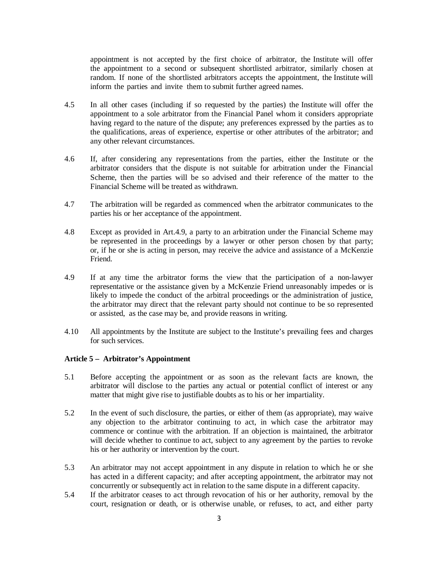appointment is not accepted by the first choice of arbitrator, the Institute will offer the appointment to a second or subsequent shortlisted arbitrator, similarly chosen at random. If none of the shortlisted arbitrators accepts the appointment, the Institute will inform the parties and invite them to submit further agreed names.

- 4.5 In all other cases (including if so requested by the parties) the Institute will offer the appointment to a sole arbitrator from the Financial Panel whom it considers appropriate having regard to the nature of the dispute; any preferences expressed by the parties as to the qualifications, areas of experience, expertise or other attributes of the arbitrator; and any other relevant circumstances.
- 4.6 If, after considering any representations from the parties, either the Institute or the arbitrator considers that the dispute is not suitable for arbitration under the Financial Scheme, then the parties will be so advised and their reference of the matter to the Financial Scheme will be treated as withdrawn.
- 4.7 The arbitration will be regarded as commenced when the arbitrator communicates to the parties his or her acceptance of the appointment.
- 4.8 Except as provided in Art.4.9, a party to an arbitration under the Financial Scheme may be represented in the proceedings by a lawyer or other person chosen by that party; or, if he or she is acting in person, may receive the advice and assistance of a McKenzie Friend.
- 4.9 If at any time the arbitrator forms the view that the participation of a non-lawyer representative or the assistance given by a McKenzie Friend unreasonably impedes or is likely to impede the conduct of the arbitral proceedings or the administration of justice, the arbitrator may direct that the relevant party should not continue to be so represented or assisted, as the case may be, and provide reasons in writing.
- 4.10 All appointments by the Institute are subject to the Institute's prevailing fees and charges for such services.

# **Article 5 – Arbitrator's Appointment**

- 5.1 Before accepting the appointment or as soon as the relevant facts are known, the arbitrator will disclose to the parties any actual or potential conflict of interest or any matter that might give rise to justifiable doubts as to his or her impartiality.
- 5.2 In the event of such disclosure, the parties, or either of them (as appropriate), may waive any objection to the arbitrator continuing to act, in which case the arbitrator may commence or continue with the arbitration. If an objection is maintained, the arbitrator will decide whether to continue to act, subject to any agreement by the parties to revoke his or her authority or intervention by the court.
- 5.3 An arbitrator may not accept appointment in any dispute in relation to which he or she has acted in a different capacity; and after accepting appointment, the arbitrator may not concurrently or subsequently act in relation to the same dispute in a different capacity.
- 5.4 If the arbitrator ceases to act through revocation of his or her authority, removal by the court, resignation or death, or is otherwise unable, or refuses, to act, and either party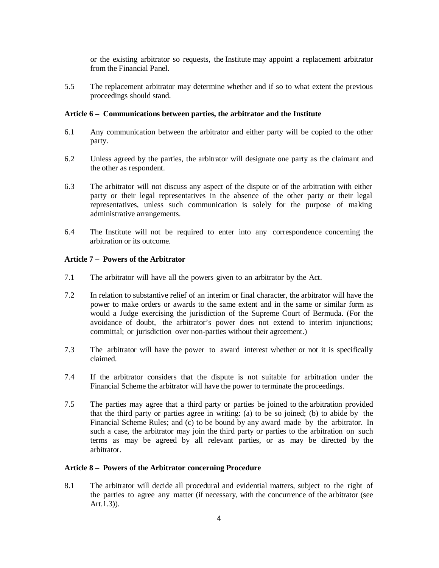or the existing arbitrator so requests, the Institute may appoint a replacement arbitrator from the Financial Panel.

5.5 The replacement arbitrator may determine whether and if so to what extent the previous proceedings should stand.

## **Article 6 – Communications between parties, the arbitrator and the Institute**

- 6.1 Any communication between the arbitrator and either party will be copied to the other party.
- 6.2 Unless agreed by the parties, the arbitrator will designate one party as the claimant and the other as respondent.
- 6.3 The arbitrator will not discuss any aspect of the dispute or of the arbitration with either party or their legal representatives in the absence of the other party or their legal representatives, unless such communication is solely for the purpose of making administrative arrangements.
- 6.4 The Institute will not be required to enter into any correspondence concerning the arbitration or its outcome.

#### **Article 7 – Powers of the Arbitrator**

- 7.1 The arbitrator will have all the powers given to an arbitrator by the Act.
- 7.2 In relation to substantive relief of an interim or final character, the arbitrator will have the power to make orders or awards to the same extent and in the same or similar form as would a Judge exercising the jurisdiction of the Supreme Court of Bermuda. (For the avoidance of doubt, the arbitrator's power does not extend to interim injunctions; committal; or jurisdiction over non-parties without their agreement.)
- 7.3 The arbitrator will have the power to award interest whether or not it is specifically claimed.
- 7.4 If the arbitrator considers that the dispute is not suitable for arbitration under the Financial Scheme the arbitrator will have the power to terminate the proceedings.
- 7.5 The parties may agree that a third party or parties be joined to the arbitration provided that the third party or parties agree in writing: (a) to be so joined; (b) to abide by the Financial Scheme Rules; and (c) to be bound by any award made by the arbitrator. In such a case, the arbitrator may join the third party or parties to the arbitration on such terms as may be agreed by all relevant parties, or as may be directed by the arbitrator.

#### **Article 8 – Powers of the Arbitrator concerning Procedure**

8.1 The arbitrator will decide all procedural and evidential matters, subject to the right of the parties to agree any matter (if necessary, with the concurrence of the arbitrator (see Art.1.3)).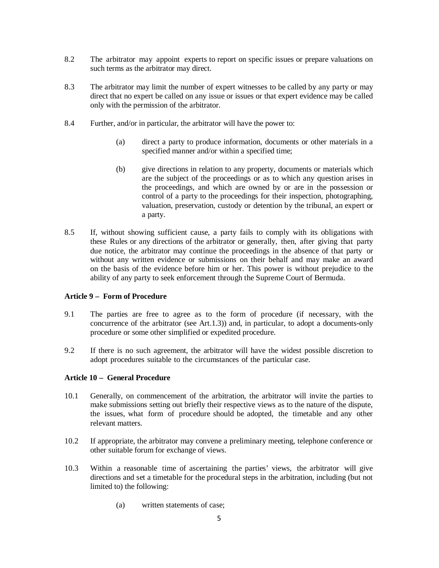- 8.2 The arbitrator may appoint experts to report on specific issues or prepare valuations on such terms as the arbitrator may direct.
- 8.3 The arbitrator may limit the number of expert witnesses to be called by any party or may direct that no expert be called on any issue or issues or that expert evidence may be called only with the permission of the arbitrator.
- 8.4 Further, and/or in particular, the arbitrator will have the power to:
	- (a) direct a party to produce information, documents or other materials in a specified manner and/or within a specified time;
	- (b) give directions in relation to any property, documents or materials which are the subject of the proceedings or as to which any question arises in the proceedings, and which are owned by or are in the possession or control of a party to the proceedings for their inspection, photographing, valuation, preservation, custody or detention by the tribunal, an expert or a party.
- 8.5 If, without showing sufficient cause, a party fails to comply with its obligations with these Rules or any directions of the arbitrator or generally, then, after giving that party due notice, the arbitrator may continue the proceedings in the absence of that party or without any written evidence or submissions on their behalf and may make an award on the basis of the evidence before him or her. This power is without prejudice to the ability of any party to seek enforcement through the Supreme Court of Bermuda.

#### **Article 9 – Form of Procedure**

- 9.1 The parties are free to agree as to the form of procedure (if necessary, with the concurrence of the arbitrator (see Art.1.3)) and, in particular, to adopt a documents-only procedure or some other simplified or expedited procedure.
- 9.2 If there is no such agreement, the arbitrator will have the widest possible discretion to adopt procedures suitable to the circumstances of the particular case.

# **Article 10 – General Procedure**

- 10.1 Generally, on commencement of the arbitration, the arbitrator will invite the parties to make submissions setting out briefly their respective views as to the nature of the dispute, the issues, what form of procedure should be adopted, the timetable and any other relevant matters.
- 10.2 If appropriate, the arbitrator may convene a preliminary meeting, telephone conference or other suitable forum for exchange of views.
- 10.3 Within a reasonable time of ascertaining the parties' views, the arbitrator will give directions and set a timetable for the procedural steps in the arbitration, including (but not limited to) the following:
	- (a) written statements of case;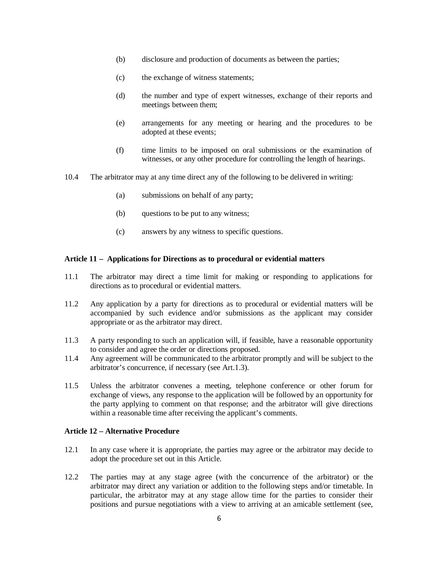- (b) disclosure and production of documents as between the parties;
- (c) the exchange of witness statements;
- (d) the number and type of expert witnesses, exchange of their reports and meetings between them;
- (e) arrangements for any meeting or hearing and the procedures to be adopted at these events;
- (f) time limits to be imposed on oral submissions or the examination of witnesses, or any other procedure for controlling the length of hearings.
- 10.4 The arbitrator may at any time direct any of the following to be delivered in writing:
	- (a) submissions on behalf of any party;
	- (b) questions to be put to any witness;
	- (c) answers by any witness to specific questions.

## **Article 11 – Applications for Directions as to procedural or evidential matters**

- 11.1 The arbitrator may direct a time limit for making or responding to applications for directions as to procedural or evidential matters.
- 11.2 Any application by a party for directions as to procedural or evidential matters will be accompanied by such evidence and/or submissions as the applicant may consider appropriate or as the arbitrator may direct.
- 11.3 A party responding to such an application will, if feasible, have a reasonable opportunity to consider and agree the order or directions proposed.
- 11.4 Any agreement will be communicated to the arbitrator promptly and will be subject to the arbitrator's concurrence, if necessary (see Art.1.3).
- 11.5 Unless the arbitrator convenes a meeting, telephone conference or other forum for exchange of views, any response to the application will be followed by an opportunity for the party applying to comment on that response; and the arbitrator will give directions within a reasonable time after receiving the applicant's comments.

# **Article 12 – Alternative Procedure**

- 12.1 In any case where it is appropriate, the parties may agree or the arbitrator may decide to adopt the procedure set out in this Article.
- 12.2 The parties may at any stage agree (with the concurrence of the arbitrator) or the arbitrator may direct any variation or addition to the following steps and/or timetable. In particular, the arbitrator may at any stage allow time for the parties to consider their positions and pursue negotiations with a view to arriving at an amicable settlement (see,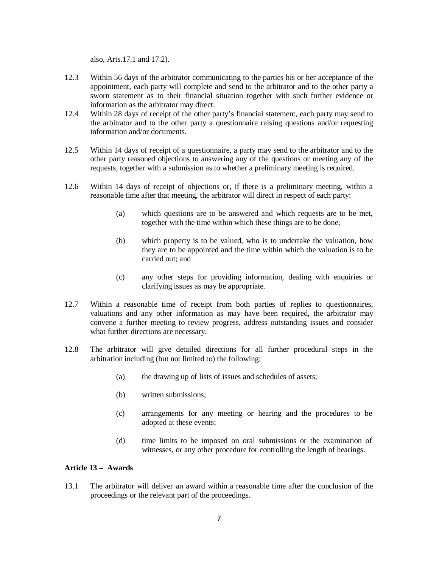also, Arts.17.1 and 17.2).

- 12.3 Within 56 days of the arbitrator communicating to the parties his or her acceptance of the appointment, each party will complete and send to the arbitrator and to the other party a sworn statement as to their financial situation together with such further evidence or information as the arbitrator may direct.
- 12.4 Within 28 days of receipt of the other party's financial statement, each party may send to the arbitrator and to the other party a questionnaire raising questions and/or requesting information and/or documents.
- 12.5 Within 14 days of receipt of a questionnaire, a party may send to the arbitrator and to the other party reasoned objections to answering any of the questions or meeting any of the requests, together with a submission as to whether a preliminary meeting is required.
- 12.6 Within 14 days of receipt of objections or, if there is a preliminary meeting, within a reasonable time after that meeting, the arbitrator will direct in respect of each party:
	- (a) which questions are to be answered and which requests are to be met, together with the time within which these things are to be done;
	- (b) which property is to be valued, who is to undertake the valuation, how they are to be appointed and the time within which the valuation is to be carried out; and
	- (c) any other steps for providing information, dealing with enquiries or clarifying issues as may be appropriate.
- 12.7 Within a reasonable time of receipt from both parties of replies to questionnaires, valuations and any other information as may have been required, the arbitrator may convene a further meeting to review progress, address outstanding issues and consider what further directions are necessary.
- 12.8 The arbitrator will give detailed directions for all further procedural steps in the arbitration including (but not limited to) the following:
	- (a) the drawing up of lists of issues and schedules of assets;
	- (b) written submissions;
	- (c) arrangements for any meeting or hearing and the procedures to be adopted at these events;
	- (d) time limits to be imposed on oral submissions or the examination of witnesses, or any other procedure for controlling the length of hearings.

### **Article 13 – Awards**

13.1 The arbitrator will deliver an award within a reasonable time after the conclusion of the proceedings or the relevant part of the proceedings.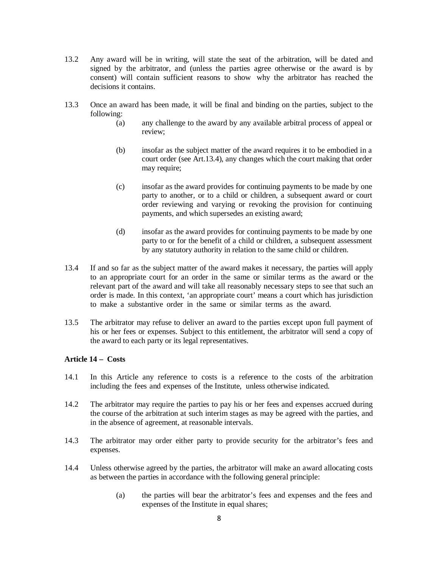- 13.2 Any award will be in writing, will state the seat of the arbitration, will be dated and signed by the arbitrator, and (unless the parties agree otherwise or the award is by consent) will contain sufficient reasons to show why the arbitrator has reached the decisions it contains.
- 13.3 Once an award has been made, it will be final and binding on the parties, subject to the following:
	- (a) any challenge to the award by any available arbitral process of appeal or review;
	- (b) insofar as the subject matter of the award requires it to be embodied in a court order (see Art.13.4), any changes which the court making that order may require;
	- (c) insofar as the award provides for continuing payments to be made by one party to another, or to a child or children, a subsequent award or court order reviewing and varying or revoking the provision for continuing payments, and which supersedes an existing award;
	- (d) insofar as the award provides for continuing payments to be made by one party to or for the benefit of a child or children, a subsequent assessment by any statutory authority in relation to the same child or children.
- 13.4 If and so far as the subject matter of the award makes it necessary, the parties will apply to an appropriate court for an order in the same or similar terms as the award or the relevant part of the award and will take all reasonably necessary steps to see that such an order is made. In this context, 'an appropriate court' means a court which has jurisdiction to make a substantive order in the same or similar terms as the award.
- 13.5 The arbitrator may refuse to deliver an award to the parties except upon full payment of his or her fees or expenses. Subject to this entitlement, the arbitrator will send a copy of the award to each party or its legal representatives.

# **Article 14 – Costs**

- 14.1 In this Article any reference to costs is a reference to the costs of the arbitration including the fees and expenses of the Institute, unless otherwise indicated.
- 14.2 The arbitrator may require the parties to pay his or her fees and expenses accrued during the course of the arbitration at such interim stages as may be agreed with the parties, and in the absence of agreement, at reasonable intervals.
- 14.3 The arbitrator may order either party to provide security for the arbitrator's fees and expenses.
- 14.4 Unless otherwise agreed by the parties, the arbitrator will make an award allocating costs as between the parties in accordance with the following general principle:
	- (a) the parties will bear the arbitrator's fees and expenses and the fees and expenses of the Institute in equal shares;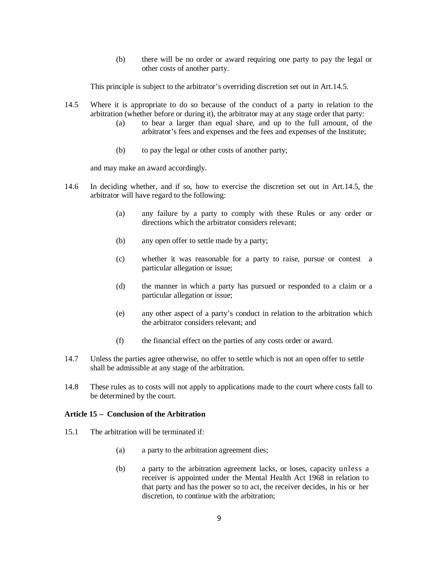(b) there will be no order or award requiring one party to pay the legal or other costs of another party.

This principle is subject to the arbitrator's overriding discretion set out in Art.14.5.

- 14.5 Where it is appropriate to do so because of the conduct of a party in relation to the arbitration (whether before or during it), the arbitrator may at any stage order that party:
	- (a) to bear a larger than equal share, and up to the full amount, of the arbitrator's fees and expenses and the fees and expenses of the Institute;
	- (b) to pay the legal or other costs of another party;

and may make an award accordingly.

- 14.6 In deciding whether, and if so, how to exercise the discretion set out in Art.14.5, the arbitrator will have regard to the following:
	- (a) any failure by a party to comply with these Rules or any order or directions which the arbitrator considers relevant;
	- (b) any open offer to settle made by a party;
	- (c) whether it was reasonable for a party to raise, pursue or contest a particular allegation or issue;
	- (d) the manner in which a party has pursued or responded to a claim or a particular allegation or issue;
	- (e) any other aspect of a party's conduct in relation to the arbitration which the arbitrator considers relevant; and
	- (f) the financial effect on the parties of any costs order or award.
- 14.7 Unless the parties agree otherwise, no offer to settle which is not an open offer to settle shall be admissible at any stage of the arbitration.
- 14.8 These rules as to costs will not apply to applications made to the court where costs fall to be determined by the court.

## **Article 15 – Conclusion of the Arbitration**

- 15.1 The arbitration will be terminated if:
	- (a) a party to the arbitration agreement dies;
	- (b) a party to the arbitration agreement lacks, or loses, capacity unless a receiver is appointed under the Mental Health Act 1968 in relation to that party and has the power so to act, the receiver decides, in his or her discretion, to continue with the arbitration;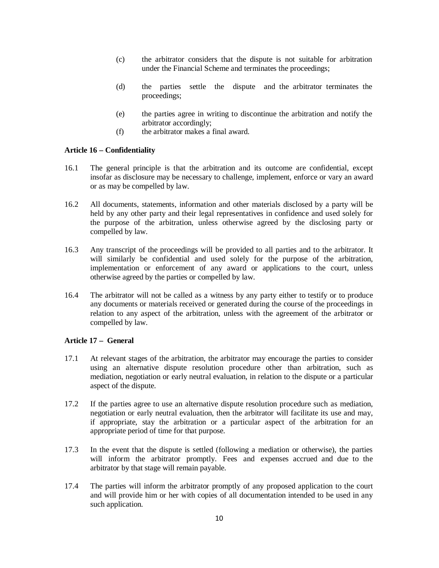- (c) the arbitrator considers that the dispute is not suitable for arbitration under the Financial Scheme and terminates the proceedings;
- (d) the parties settle the dispute and the arbitrator terminates the proceedings;
- (e) the parties agree in writing to discontinue the arbitration and notify the arbitrator accordingly;
- (f) the arbitrator makes a final award.

#### **Article 16 – Confidentiality**

- 16.1 The general principle is that the arbitration and its outcome are confidential, except insofar as disclosure may be necessary to challenge, implement, enforce or vary an award or as may be compelled by law.
- 16.2 All documents, statements, information and other materials disclosed by a party will be held by any other party and their legal representatives in confidence and used solely for the purpose of the arbitration, unless otherwise agreed by the disclosing party or compelled by law.
- 16.3 Any transcript of the proceedings will be provided to all parties and to the arbitrator. It will similarly be confidential and used solely for the purpose of the arbitration, implementation or enforcement of any award or applications to the court, unless otherwise agreed by the parties or compelled by law.
- 16.4 The arbitrator will not be called as a witness by any party either to testify or to produce any documents or materials received or generated during the course of the proceedings in relation to any aspect of the arbitration, unless with the agreement of the arbitrator or compelled by law.

## **Article 17 – General**

- 17.1 At relevant stages of the arbitration, the arbitrator may encourage the parties to consider using an alternative dispute resolution procedure other than arbitration, such as mediation, negotiation or early neutral evaluation, in relation to the dispute or a particular aspect of the dispute.
- 17.2 If the parties agree to use an alternative dispute resolution procedure such as mediation, negotiation or early neutral evaluation, then the arbitrator will facilitate its use and may, if appropriate, stay the arbitration or a particular aspect of the arbitration for an appropriate period of time for that purpose.
- 17.3 In the event that the dispute is settled (following a mediation or otherwise), the parties will inform the arbitrator promptly. Fees and expenses accrued and due to the arbitrator by that stage will remain payable.
- 17.4 The parties will inform the arbitrator promptly of any proposed application to the court and will provide him or her with copies of all documentation intended to be used in any such application.